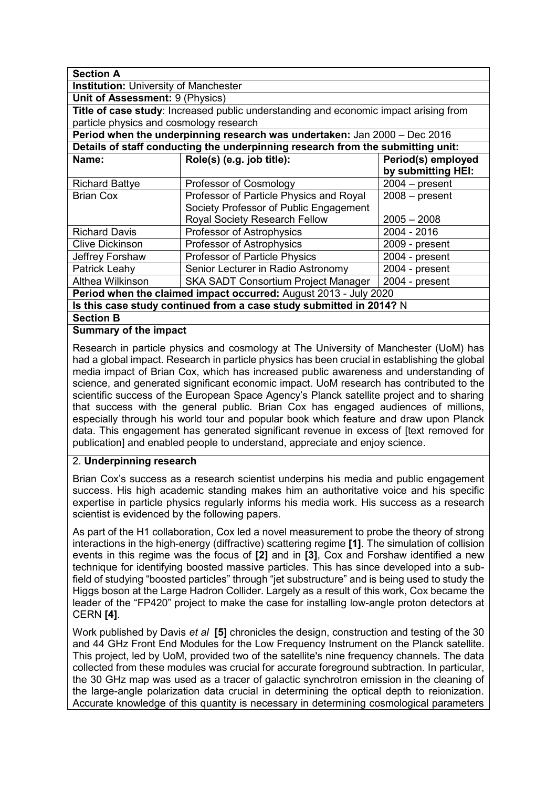| <b>Section A</b>                                                                     |                                            |                    |
|--------------------------------------------------------------------------------------|--------------------------------------------|--------------------|
| <b>Institution:</b> University of Manchester                                         |                                            |                    |
| Unit of Assessment: 9 (Physics)                                                      |                                            |                    |
| Title of case study: Increased public understanding and economic impact arising from |                                            |                    |
| particle physics and cosmology research                                              |                                            |                    |
| Period when the underpinning research was undertaken: Jan 2000 - Dec 2016            |                                            |                    |
| Details of staff conducting the underpinning research from the submitting unit:      |                                            |                    |
| Name:                                                                                | Role(s) (e.g. job title):                  | Period(s) employed |
|                                                                                      |                                            | by submitting HEI: |
| <b>Richard Battye</b>                                                                | Professor of Cosmology                     | $2004 - present$   |
| <b>Brian Cox</b>                                                                     | Professor of Particle Physics and Royal    | $2008 - present$   |
|                                                                                      | Society Professor of Public Engagement     |                    |
|                                                                                      | Royal Society Research Fellow              | $2005 - 2008$      |
| <b>Richard Davis</b>                                                                 | Professor of Astrophysics                  | 2004 - 2016        |
| <b>Clive Dickinson</b>                                                               | Professor of Astrophysics                  | 2009 - present     |
| Jeffrey Forshaw                                                                      | <b>Professor of Particle Physics</b>       | 2004 - present     |
| Patrick Leahy                                                                        | Senior Lecturer in Radio Astronomy         | 2004 - present     |
| Althea Wilkinson                                                                     | <b>SKA SADT Consortium Project Manager</b> | 2004 - present     |
| Period when the claimed impact occurred: August 2013 - July 2020                     |                                            |                    |
| Is this case study continued from a case study submitted in 2014? N                  |                                            |                    |
| <b>Section B</b>                                                                     |                                            |                    |
| <b>Summary of the impact</b>                                                         |                                            |                    |

Research in particle physics and cosmology at The University of Manchester (UoM) has had a global impact. Research in particle physics has been crucial in establishing the global media impact of Brian Cox, which has increased public awareness and understanding of science, and generated significant economic impact. UoM research has contributed to the scientific success of the European Space Agency's Planck satellite project and to sharing that success with the general public. Brian Cox has engaged audiences of millions, especially through his world tour and popular book which feature and draw upon Planck data. This engagement has generated significant revenue in excess of [text removed for publication] and enabled people to understand, appreciate and enjoy science.

#### 2. **Underpinning research**

Brian Cox's success as a research scientist underpins his media and public engagement success. His high academic standing makes him an authoritative voice and his specific expertise in particle physics regularly informs his media work. His success as a research scientist is evidenced by the following papers.

As part of the H1 collaboration, Cox led a novel measurement to probe the theory of strong interactions in the high-energy (diffractive) scattering regime **[1]**. The simulation of collision events in this regime was the focus of **[2]** and in **[3]**, Cox and Forshaw identified a new technique for identifying boosted massive particles. This has since developed into a subfield of studying "boosted particles" through "jet substructure" and is being used to study the Higgs boson at the Large Hadron Collider. Largely as a result of this work, Cox became the leader of the "FP420" project to make the case for installing low-angle proton detectors at CERN **[4]**.

Work published by Davis *et al* **[5]** chronicles the design, construction and testing of the 30 and 44 GHz Front End Modules for the Low Frequency Instrument on the Planck satellite. This project, led by UoM, provided two of the satellite's nine frequency channels. The data collected from these modules was crucial for accurate foreground subtraction. In particular, the 30 GHz map was used as a tracer of galactic synchrotron emission in the cleaning of the large-angle polarization data crucial in determining the optical depth to reionization. Accurate knowledge of this quantity is necessary in determining cosmological parameters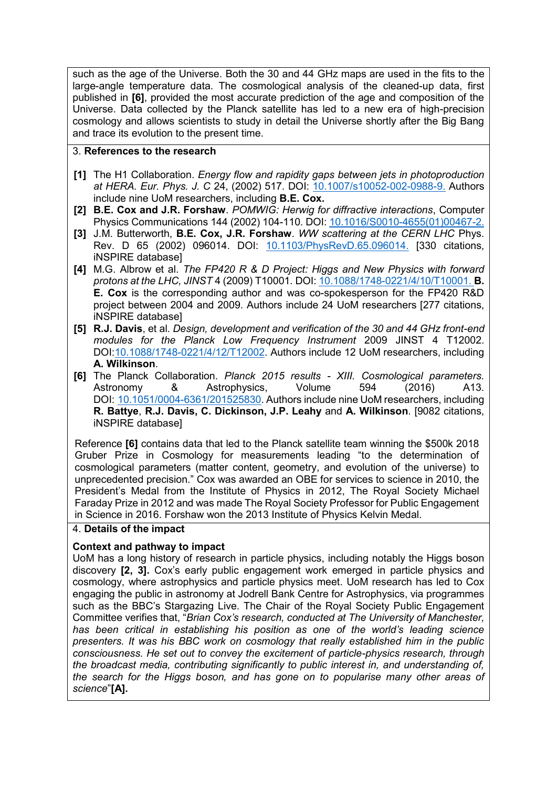such as the age of the Universe. Both the 30 and 44 GHz maps are used in the fits to the large-angle temperature data. The cosmological analysis of the cleaned-up data, first published in **[6]**, provided the most accurate prediction of the age and composition of the Universe. Data collected by the Planck satellite has led to a new era of high-precision cosmology and allows scientists to study in detail the Universe shortly after the Big Bang and trace its evolution to the present time.

## 3. **References to the research**

- **[1]** The H1 Collaboration. *Energy flow and rapidity gaps between jets in photoproduction at HERA. Eur. Phys. J. C* 24, (2002) 517. DOI: [10.1007/s10052-002-0988-9.](https://doi.org/10.1007/s10052-002-0988-9) Authors include nine UoM researchers, including **B.E. Cox.**
- **[2] B.E. Cox and J.R. Forshaw**. *POMWIG: Herwig for diffractive interactions*, Computer Physics Communications 144 (2002) 104-110. DOI: [10.1016/S0010-4655\(01\)00467-2.](https://doi.org/10.1016/S0010-4655(01)00467-2)
- **[3]** J.M. Butterworth, **B.E. Cox, J.R. Forshaw**. *WW scattering at the CERN LHC* Phys. Rev. D 65 (2002) 096014. DOI: [10.1103/PhysRevD.65.096014.](https://doi.org/10.1103/PhysRevD.65.096014) [330 citations, iNSPIRE database]
- **[4]** M.G. Albrow et al. *The FP420 R & D Project: Higgs and New Physics with forward protons at the LHC, JINST* 4 (2009) T10001*.* DOI: [10.1088/1748-0221/4/10/T10001.](https://doi.org/10.1088/1748-0221/4/10/T10001) **B. E. Cox** is the corresponding author and was co-spokesperson for the FP420 R&D project between 2004 and 2009. Authors include 24 UoM researchers [277 citations, iNSPIRE database]
- **[5] R.J. Davis**, et al. *Design, development and verification of the 30 and 44 GHz front-end modules for the Planck Low Frequency Instrument* 2009 JINST 4 T12002. DOI[:10.1088/1748-0221/4/12/T12002.](https://iopscience.iop.org/article/10.1088/1748-0221/4/12/T12002) Authors include 12 UoM researchers, including **A. Wilkinson**.
- **[6]** The Planck Collaboration. *Planck 2015 results - XIII. Cosmological parameters.* Astronomy & Astrophysics, Volume 594 (2016) A13. DOI: [10.1051/0004-6361/201525830.](https://doi.org/10.1051/0004-6361/201525830) Authors include nine UoM researchers, including **R. Battye**, **R.J. Davis, C. Dickinson, J.P. Leahy** and **A. Wilkinson**. [9082 citations, iNSPIRE database]

Reference **[6]** contains data that led to the Planck satellite team winning the \$500k 2018 Gruber Prize in Cosmology for measurements leading "to the determination of cosmological parameters (matter content, geometry, and evolution of the universe) to unprecedented precision." Cox was awarded an OBE for services to science in 2010, the President's Medal from the Institute of Physics in 2012, The Royal Society Michael Faraday Prize in 2012 and was made The Royal Society Professor for Public Engagement in Science in 2016. Forshaw won the 2013 Institute of Physics Kelvin Medal.

# 4. **Details of the impact**

# **Context and pathway to impact**

UoM has a long history of research in particle physics, including notably the Higgs boson discovery **[2, 3].** Cox's early public engagement work emerged in particle physics and cosmology, where astrophysics and particle physics meet. UoM research has led to Cox engaging the public in astronomy at Jodrell Bank Centre for Astrophysics, via programmes such as the BBC's Stargazing Live. The Chair of the Royal Society Public Engagement Committee verifies that, "*Brian Cox's research, conducted at The University of Manchester, has been critical in establishing his position as one of the world's leading science presenters. It was his BBC work on cosmology that really established him in the public consciousness. He set out to convey the excitement of particle-physics research, through the broadcast media, contributing significantly to public interest in, and understanding of, the search for the Higgs boson, and has gone on to popularise many other areas of science*"**[A].**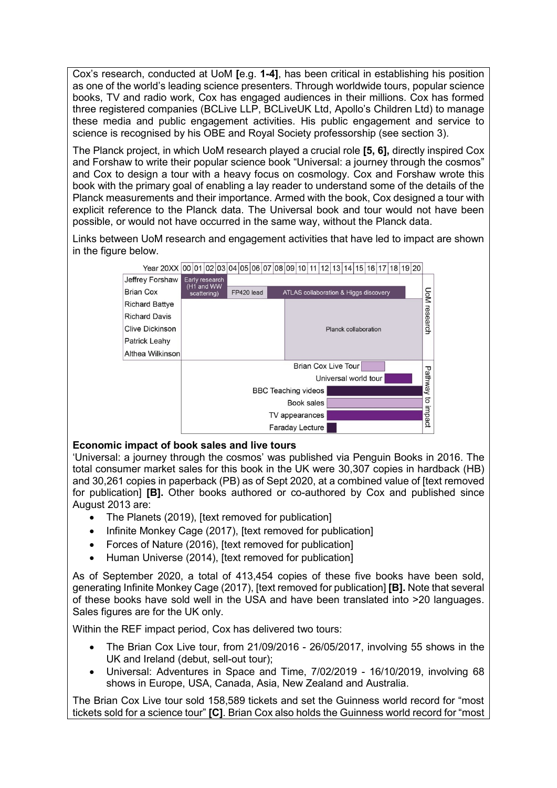Cox's research, conducted at UoM **[**e.g. **1-4]**, has been critical in establishing his position as one of the world's leading science presenters. Through worldwide tours, popular science books, TV and radio work, Cox has engaged audiences in their millions. Cox has formed three registered companies (BCLive LLP, BCLiveUK Ltd, Apollo's Children Ltd) to manage these media and public engagement activities. His public engagement and service to science is recognised by his OBE and Royal Society professorship (see section 3).

The Planck project, in which UoM research played a crucial role **[5, 6],** directly inspired Cox and Forshaw to write their popular science book "Universal: a journey through the cosmos" and Cox to design a tour with a heavy focus on cosmology. Cox and Forshaw wrote this book with the primary goal of enabling a lay reader to understand some of the details of the Planck measurements and their importance. Armed with the book, Cox designed a tour with explicit reference to the Planck data. The Universal book and tour would not have been possible, or would not have occurred in the same way, without the Planck data.

Links between UoM research and engagement activities that have led to impact are shown in the figure below.



### **Economic impact of book sales and live tours**

'Universal: a journey through the cosmos' was published via Penguin Books in 2016. The total consumer market sales for this book in the UK were 30,307 copies in hardback (HB) and 30,261 copies in paperback (PB) as of Sept 2020, at a combined value of [text removed for publication] **[B].** Other books authored or co-authored by Cox and published since August 2013 are:

- The Planets (2019), Itext removed for publication
- Infinite Monkey Cage (2017), [text removed for publication]
- Forces of Nature (2016), [text removed for publication]
- Human Universe (2014), [text removed for publication]

As of September 2020, a total of 413,454 copies of these five books have been sold, generating Infinite Monkey Cage (2017), [text removed for publication] **[B].** Note that several of these books have sold well in the USA and have been translated into >20 languages. Sales figures are for the UK only.

Within the REF impact period, Cox has delivered two tours:

- The Brian Cox Live tour, from 21/09/2016 26/05/2017, involving 55 shows in the UK and Ireland (debut, sell-out tour);
- Universal: Adventures in Space and Time, 7/02/2019 16/10/2019, involving 68 shows in Europe, USA, Canada, Asia, New Zealand and Australia.

The Brian Cox Live tour sold 158,589 tickets and set the Guinness world record for "most tickets sold for a science tour" **[C]**. Brian Cox also holds the Guinness world record for "most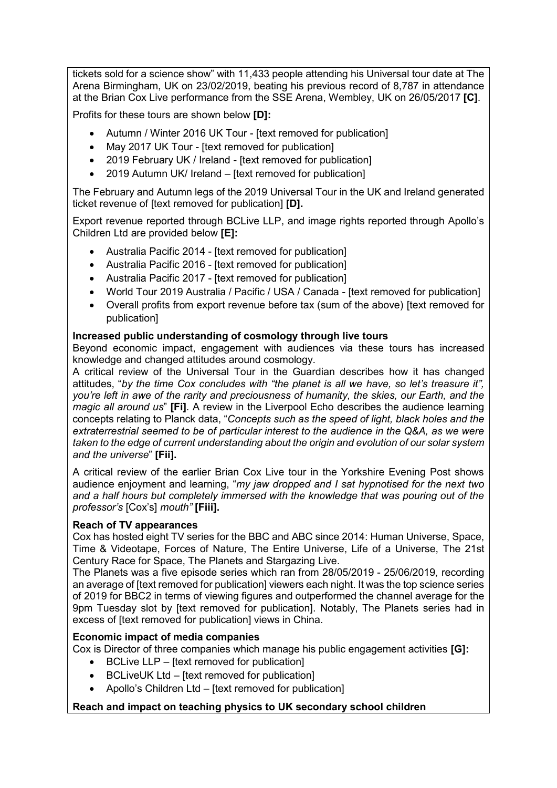tickets sold for a science show" with 11,433 people attending his Universal tour date at The Arena Birmingham, UK on 23/02/2019, beating his previous record of 8,787 in attendance at the Brian Cox Live performance from the SSE Arena, Wembley, UK on 26/05/2017 **[C]**.

Profits for these tours are shown below **[D]:**

- Autumn / Winter 2016 UK Tour [text removed for publication]
- May 2017 UK Tour [text removed for publication]
- 2019 February UK / Ireland [text removed for publication]
- 2019 Autumn UK/ Ireland [text removed for publication]

The February and Autumn legs of the 2019 Universal Tour in the UK and Ireland generated ticket revenue of [text removed for publication] **[D].**

Export revenue reported through BCLive LLP, and image rights reported through Apollo's Children Ltd are provided below **[E]:**

- Australia Pacific 2014 [text removed for publication]
- Australia Pacific 2016 Itext removed for publication
- Australia Pacific 2017 [text removed for publication]
- World Tour 2019 Australia / Pacific / USA / Canada [text removed for publication]
- Overall profits from export revenue before tax (sum of the above) [text removed for publication]

### **Increased public understanding of cosmology through live tours**

Beyond economic impact, engagement with audiences via these tours has increased knowledge and changed attitudes around cosmology.

A critical review of the Universal Tour in the Guardian describes how it has changed attitudes, "*by the time Cox concludes with "the planet is all we have, so let's treasure it", you're left in awe of the rarity and preciousness of humanity, the skies, our Earth, and the magic all around us*" **[Fi]**. A review in the Liverpool Echo describes the audience learning concepts relating to Planck data, "*Concepts such as the speed of light, black holes and the extraterrestrial seemed to be of particular interest to the audience in the Q&A, as we were taken to the edge of current understanding about the origin and evolution of our solar system and the universe*" **[Fii].**

A critical review of the earlier Brian Cox Live tour in the Yorkshire Evening Post shows audience enjoyment and learning, "*my jaw dropped and I sat hypnotised for the next two and a half hours but completely immersed with the knowledge that was pouring out of the professor's* [Cox's] *mouth"* **[Fiii].**

#### **Reach of TV appearances**

Cox has hosted eight TV series for the BBC and ABC since 2014: Human Universe, Space, Time & Videotape, Forces of Nature, The Entire Universe, Life of a Universe, The 21st Century Race for Space, The Planets and Stargazing Live.

The Planets was a five episode series which ran from 28/05/2019 - 25/06/2019*,* recording an average of [text removed for publication] viewers each night. It was the top science series of 2019 for BBC2 in terms of viewing figures and outperformed the channel average for the 9pm Tuesday slot by [text removed for publication]. Notably, The Planets series had in excess of Itext removed for publication] views in China.

### **Economic impact of media companies**

Cox is Director of three companies which manage his public engagement activities **[G]:**

- $\bullet$  BCLive LLP Itext removed for publication
- BCLiveUK Ltd Itext removed for publication]
- Apollo's Children Ltd [text removed for publication]

### **Reach and impact on teaching physics to UK secondary school children**